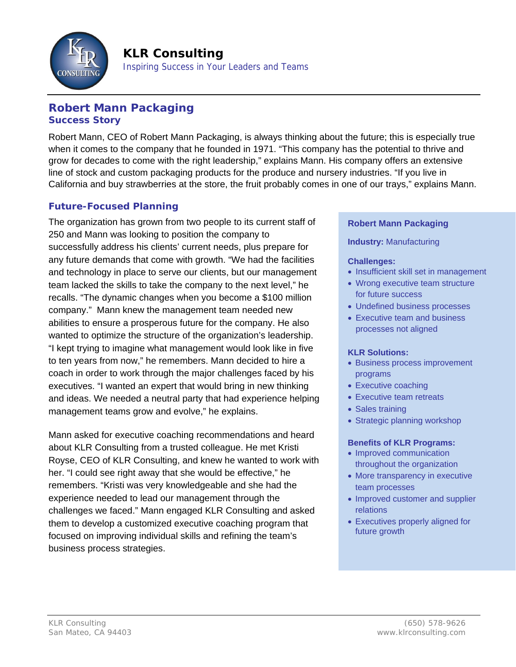

Inspiring Success in Your Leaders and Teams

# **Robert Mann Packaging Success Story**

Robert Mann, CEO of Robert Mann Packaging, is always thinking about the future; this is especially true when it comes to the company that he founded in 1971. "This company has the potential to thrive and grow for decades to come with the right leadership," explains Mann. His company offers an extensive line of stock and custom packaging products for the produce and nursery industries. "If you live in California and buy strawberries at the store, the fruit probably comes in one of our trays," explains Mann.

## **Future-Focused Planning**

The organization has grown from two people to its current staff of 250 and Mann was looking to position the company to successfully address his clients' current needs, plus prepare for any future demands that come with growth. "We had the facilities and technology in place to serve our clients, but our management team lacked the skills to take the company to the next level," he recalls. "The dynamic changes when you become a \$100 million company." Mann knew the management team needed new abilities to ensure a prosperous future for the company. He also wanted to optimize the structure of the organization's leadership. "I kept trying to imagine what management would look like in five to ten years from now," he remembers. Mann decided to hire a coach in order to work through the major challenges faced by his executives. "I wanted an expert that would bring in new thinking and ideas. We needed a neutral party that had experience helping management teams grow and evolve," he explains.

Mann asked for executive coaching recommendations and heard about KLR Consulting from a trusted colleague. He met Kristi Royse, CEO of KLR Consulting, and knew he wanted to work with her. "I could see right away that she would be effective," he remembers. "Kristi was very knowledgeable and she had the experience needed to lead our management through the challenges we faced." Mann engaged KLR Consulting and asked them to develop a customized executive coaching program that focused on improving individual skills and refining the team's business process strategies.

### **Robert Mann Packaging**

**Industry:** Manufacturing

#### **Challenges:**

- Insufficient skill set in management
- Wrong executive team structure for future success
- Undefined business processes
- Executive team and business processes not aligned

#### **KLR Solutions:**

- Business process improvement programs
- Executive coaching
- Executive team retreats
- Sales training
- Strategic planning workshop

#### **Benefits of KLR Programs:**

- Improved communication throughout the organization
- More transparency in executive team processes
- Improved customer and supplier relations
- Executives properly aligned for future growth